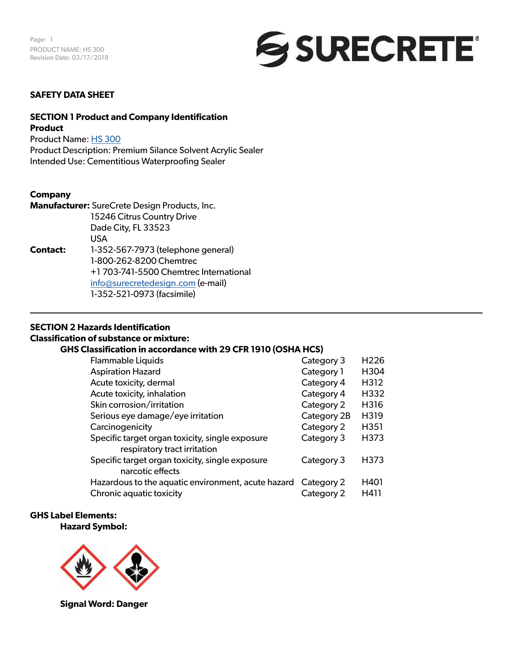

#### **SAFETY DATA SHEET**

#### **SECTION 1 Product and Company Identification Product**

Product Name: [HS 300](https://www.surecretedesign.com/product/overlay-outdoor-clear-sealer/)

Product Description: Premium Silance Solvent Acrylic Sealer Intended Use: Cementitious Waterproofing Sealer

#### **Company**

|                 | Manufacturer: SureCrete Design Products, Inc. |
|-----------------|-----------------------------------------------|
|                 | 15246 Citrus Country Drive                    |
|                 | Dade City, FL 33523                           |
|                 | USA                                           |
| <b>Contact:</b> | 1-352-567-7973 (telephone general)            |
|                 | 1-800-262-8200 Chemtrec                       |
|                 | +1703-741-5500 Chemtrec International         |
|                 | info@surecretedesign.com (e-mail)             |
|                 | 1-352-521-0973 (facsimile)                    |

### **SECTION 2 Hazards Identification**

#### **Classification of substance or mixture:**

#### **GHS Classification in accordance with 29 CFR 1910 (OSHA HCS)**

| <b>Flammable Liquids</b>                                                        | Category 3  | H <sub>226</sub> |
|---------------------------------------------------------------------------------|-------------|------------------|
| <b>Aspiration Hazard</b>                                                        | Category 1  | H304             |
| Acute toxicity, dermal                                                          | Category 4  | H312             |
| Acute toxicity, inhalation                                                      | Category 4  | H332             |
| Skin corrosion/irritation                                                       | Category 2  | H316             |
| Serious eye damage/eye irritation                                               | Category 2B | H319             |
| Carcinogenicity                                                                 | Category 2  | H351             |
| Specific target organ toxicity, single exposure<br>respiratory tract irritation | Category 3  | H373             |
| Specific target organ toxicity, single exposure<br>narcotic effects             | Category 3  | H373             |
| Hazardous to the aquatic environment, acute hazard                              | Category 2  | H401             |
| Chronic aquatic toxicity                                                        | Category 2  | H411             |

#### **GHS Label Elements: Hazard Symbol:**



**Signal Word: Danger**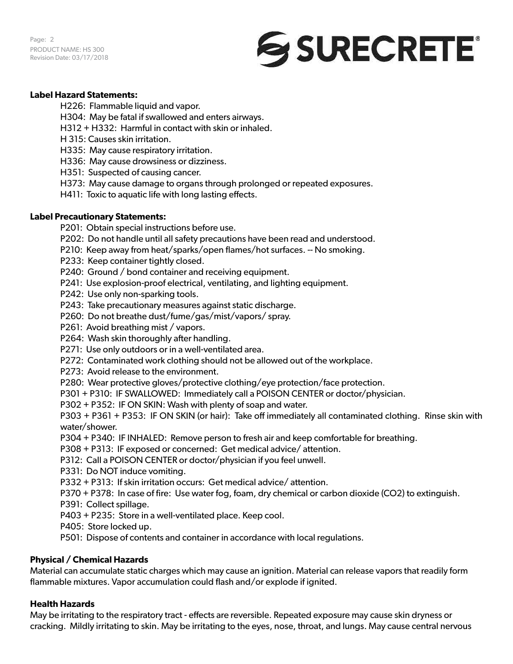Page: 2 PRODUCT NAME: HS 300 Revision Date: 03/17/2018



#### **Label Hazard Statements:**

H226: Flammable liquid and vapor.

- H304: May be fatal if swallowed and enters airways.
- H312 + H332: Harmful in contact with skin or inhaled.
- H 315: Causes skin irritation.
- H335: May cause respiratory irritation.
- H336: May cause drowsiness or dizziness.
- H351: Suspected of causing cancer.
- H373: May cause damage to organs through prolonged or repeated exposures.
- H411: Toxic to aquatic life with long lasting effects.

#### **Label Precautionary Statements:**

- P201: Obtain special instructions before use.
- P202: Do not handle until all safety precautions have been read and understood.
- P210: Keep away from heat/sparks/open flames/hot surfaces. -- No smoking.
- P233: Keep container tightly closed.
- P240: Ground / bond container and receiving equipment.
- P241: Use explosion-proof electrical, ventilating, and lighting equipment.
- P242: Use only non-sparking tools.
- P243: Take precautionary measures against static discharge.
- P260: Do not breathe dust/fume/gas/mist/vapors/ spray.
- P261: Avoid breathing mist / vapors.
- P264: Wash skin thoroughly after handling.
- P271: Use only outdoors or in a well-ventilated area.
- P272: Contaminated work clothing should not be allowed out of the workplace.
- P273: Avoid release to the environment.
- P280: Wear protective gloves/protective clothing/eye protection/face protection.
- P301 + P310: IF SWALLOWED: Immediately call a POISON CENTER or doctor/physician.
- P302 + P352: IF ON SKIN: Wash with plenty of soap and water.

P303 + P361 + P353: IF ON SKIN (or hair): Take off immediately all contaminated clothing. Rinse skin with water/shower.

- P304 + P340: IF INHALED: Remove person to fresh air and keep comfortable for breathing.
- P308 + P313: IF exposed or concerned: Get medical advice/ attention.
- P312: Call a POISON CENTER or doctor/physician if you feel unwell.
- P331: Do NOT induce vomiting.
- P332 + P313: If skin irritation occurs: Get medical advice/ attention.
- P370 + P378: In case of fire: Use water fog, foam, dry chemical or carbon dioxide (CO2) to extinguish.
- P391: Collect spillage.
- P403 + P235: Store in a well-ventilated place. Keep cool.
- P405: Store locked up.
- P501: Dispose of contents and container in accordance with local regulations.

#### **Physical / Chemical Hazards**

Material can accumulate static charges which may cause an ignition. Material can release vapors that readily form flammable mixtures. Vapor accumulation could flash and/or explode if ignited.

#### **Health Hazards**

May be irritating to the respiratory tract - effects are reversible. Repeated exposure may cause skin dryness or cracking. Mildly irritating to skin. May be irritating to the eyes, nose, throat, and lungs. May cause central nervous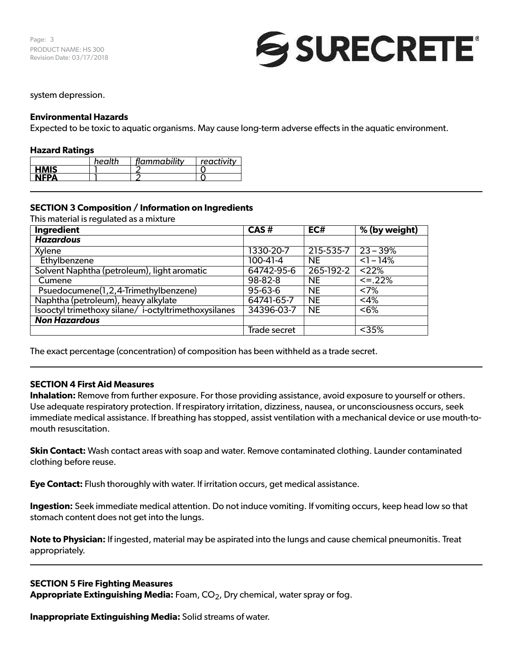

#### system depression.

#### **Environmental Hazards**

Expected to be toxic to aquatic organisms. May cause long-term adverse effects in the aquatic environment.

#### **Hazard Ratings**

|             | health | flammability | reactivity |
|-------------|--------|--------------|------------|
| <b>HMIS</b> |        |              |            |
| <b>NEDA</b> |        |              |            |

#### **SECTION 3 Composition / Information on Ingredients**

This material is regulated as a mixture

| Ingredient                                          | CAS#          | EC#       | % (by weight)     |
|-----------------------------------------------------|---------------|-----------|-------------------|
| <b>Hazardous</b>                                    |               |           |                   |
| Xylene                                              | 1330-20-7     | 215-535-7 | $23 - 39%$        |
| Ethylbenzene                                        | 100-41-4      | <b>NE</b> | $\overline{$ -14% |
| Solvent Naphtha (petroleum), light aromatic         | 64742-95-6    | 265-192-2 | < 22%             |
| Cumene                                              | 98-82-8       | <b>NE</b> | $\leq 22\%$       |
| Psuedocumene(1,2,4-Trimethylbenzene)                | $95 - 63 - 6$ | <b>NE</b> | <7%               |
| Naphtha (petroleum), heavy alkylate                 | 64741-65-7    | <b>NE</b> | $<$ 4%            |
| Isooctyl trimethoxy silane/i-octyltrimethoxysilanes | 34396-03-7    | <b>NE</b> | < 6%              |
| <b>Non Hazardous</b>                                |               |           |                   |
|                                                     | Trade secret  |           | $<$ 35%           |

The exact percentage (concentration) of composition has been withheld as a trade secret.

#### **SECTION 4 First Aid Measures**

**Inhalation:** Remove from further exposure. For those providing assistance, avoid exposure to yourself or others. Use adequate respiratory protection. If respiratory irritation, dizziness, nausea, or unconsciousness occurs, seek immediate medical assistance. If breathing has stopped, assist ventilation with a mechanical device or use mouth-tomouth resuscitation.

**Skin Contact:** Wash contact areas with soap and water. Remove contaminated clothing. Launder contaminated clothing before reuse.

**Eye Contact:** Flush thoroughly with water. If irritation occurs, get medical assistance.

**Ingestion:** Seek immediate medical attention. Do not induce vomiting. If vomiting occurs, keep head low so that stomach content does not get into the lungs.

**Note to Physician:** If ingested, material may be aspirated into the lungs and cause chemical pneumonitis. Treat appropriately.

#### **SECTION 5 Fire Fighting Measures**

Appropriate Extinguishing Media: Foam, CO<sub>2</sub>, Dry chemical, water spray or fog.

**Inappropriate Extinguishing Media:** Solid streams of water.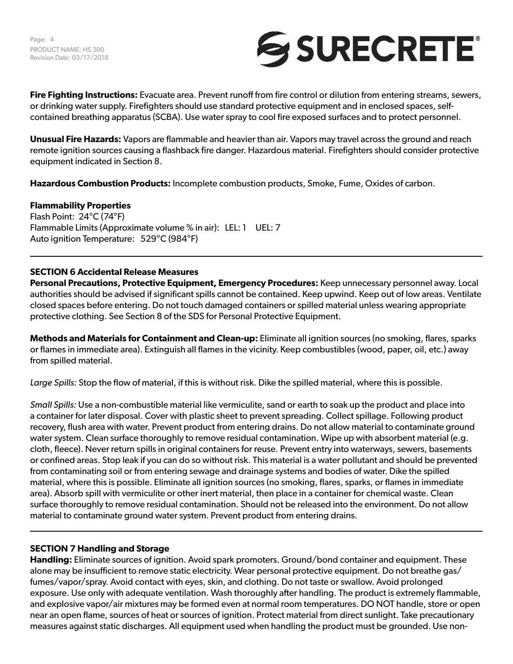Page: 4 PRODUCT NAME: HS 300 Revision Date: 03/17/2018



**Fire Fighting Instructions:** Evacuate area. Prevent runoff from fire control or dilution from entering streams, sewers, or drinking water supply. Firefighters should use standard protective equipment and in enclosed spaces, selfcontained breathing apparatus (SCBA). Use water spray to cool fire exposed surfaces and to protect personnel.

**Unusual Fire Hazards:** Vapors are flammable and heavier than air. Vapors may travel across the ground and reach remote ignition sources causing a flashback fire danger. Hazardous material. Firefighters should consider protective equipment indicated in Section 8.

**Hazardous Combustion Products:** Incomplete combustion products, Smoke, Fume, Oxides of carbon.

#### **Flammability Properties**

Flash Point: 24°C (74°F) Flammable Limits (Approximate volume % in air): LEL: 1 UEL: 7 Auto ignition Temperature: 529°C (984°F)

#### **SECTION 6 Accidental Release Measures**

**Personal Precautions, Protective Equipment, Emergency Procedures:** Keep unnecessary personnel away. Local authorities should be advised if significant spills cannot be contained. Keep upwind. Keep out of low areas. Ventilate closed spaces before entering. Do not touch damaged containers or spilled material unless wearing appropriate protective clothing. See Section 8 of the SDS for Personal Protective Equipment.

**Methods and Materials for Containment and Clean-up:** Eliminate all ignition sources (no smoking, flares, sparks or flames in immediate area). Extinguish all flames in the vicinity. Keep combustibles (wood, paper, oil, etc.) away from spilled material.

*Large Spills:* Stop the flow of material, if this is without risk. Dike the spilled material, where this is possible.

*Small Spills:* Use a non-combustible material like vermiculite, sand or earth to soak up the product and place into a container for later disposal. Cover with plastic sheet to prevent spreading. Collect spillage. Following product recovery, flush area with water. Prevent product from entering drains. Do not allow material to contaminate ground water system. Clean surface thoroughly to remove residual contamination. Wipe up with absorbent material (e.g. cloth, fleece). Never return spills in original containers for reuse. Prevent entry into waterways, sewers, basements or confined areas. Stop leak if you can do so without risk. This material is a water pollutant and should be prevented from contaminating soil or from entering sewage and drainage systems and bodies of water. Dike the spilled material, where this is possible. Eliminate all ignition sources (no smoking, flares, sparks, or flames in immediate area). Absorb spill with vermiculite or other inert material, then place in a container for chemical waste. Clean surface thoroughly to remove residual contamination. Should not be released into the environment. Do not allow material to contaminate ground water system. Prevent product from entering drains.

#### **SECTION 7 Handling and Storage**

**Handling:** Eliminate sources of ignition. Avoid spark promoters. Ground/bond container and equipment. These alone may be insufficient to remove static electricity. Wear personal protective equipment. Do not breathe gas/ fumes/vapor/spray. Avoid contact with eyes, skin, and clothing. Do not taste or swallow. Avoid prolonged exposure. Use only with adequate ventilation. Wash thoroughly after handling. The product is extremely flammable, and explosive vapor/air mixtures may be formed even at normal room temperatures. DO NOT handle, store or open near an open flame, sources of heat or sources of ignition. Protect material from direct sunlight. Take precautionary measures against static discharges. All equipment used when handling the product must be grounded. Use non-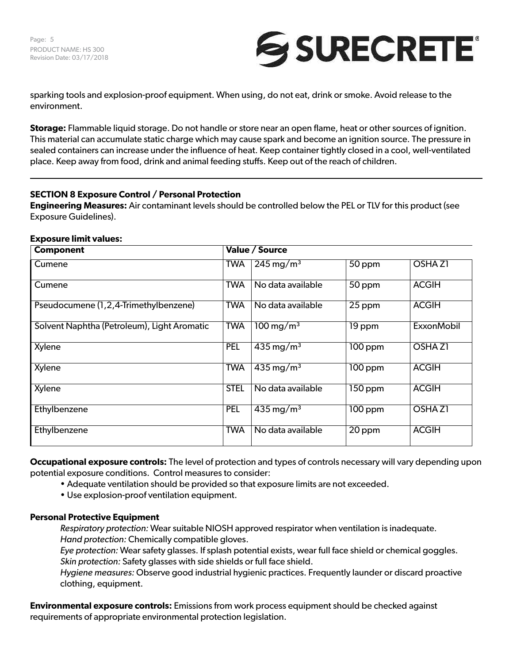

sparking tools and explosion-proof equipment. When using, do not eat, drink or smoke. Avoid release to the environment.

**Storage:** Flammable liquid storage. Do not handle or store near an open flame, heat or other sources of ignition. This material can accumulate static charge which may cause spark and become an ignition source. The pressure in sealed containers can increase under the influence of heat. Keep container tightly closed in a cool, well-ventilated place. Keep away from food, drink and animal feeding stuffs. Keep out of the reach of children.

# **SECTION 8 Exposure Control / Personal Protection**

**Engineering Measures:** Air contaminant levels should be controlled below the PEL or TLV for this product (see Exposure Guidelines).

#### **Exposure limit values:**

| <b>Component</b>                            |             | Value / Source                     |                      |                   |
|---------------------------------------------|-------------|------------------------------------|----------------------|-------------------|
| Cumene                                      | <b>TWA</b>  | $\sqrt{245}$ mg/m <sup>3</sup>     | $50$ ppm             | <b>OSHAZI</b>     |
| Cumene                                      | <b>TWA</b>  | No data available                  | $50$ ppm             | <b>ACGIH</b>      |
| Pseudocumene (1,2,4-Trimethylbenzene)       | <b>TWA</b>  | No data available                  | 25 ppm               | <b>ACGIH</b>      |
| Solvent Naphtha (Petroleum), Light Aromatic | <b>TWA</b>  | $\frac{100 \text{ mg}}{\text{m}}$  | $\overline{19}$ ppm  | <b>ExxonMobil</b> |
| Xylene                                      | <b>PEL</b>  | $435 \,\mathrm{mg/m^3}$            | $100$ ppm            | <b>OSHAZI</b>     |
| Xylene                                      | <b>TWA</b>  | $\overline{435}$ mg/m <sup>3</sup> | $100$ ppm            | <b>ACGIH</b>      |
| <b>Xylene</b>                               | <b>STEL</b> | No data available                  | $\overline{150}$ ppm | <b>ACGIH</b>      |
| Ethylbenzene                                | <b>PEL</b>  | $435 \,\mathrm{mg/m^3}$            | $\overline{10}0$ ppm | <b>OSHAZI</b>     |
| Ethylbenzene                                | <b>TWA</b>  | No data available                  | 20 ppm               | <b>ACGIH</b>      |

**Occupational exposure controls:** The level of protection and types of controls necessary will vary depending upon potential exposure conditions. Control measures to consider:

- Adequate ventilation should be provided so that exposure limits are not exceeded.
- Use explosion-proof ventilation equipment.

#### **Personal Protective Equipment**

*Respiratory protection:* Wear suitable NIOSH approved respirator when ventilation is inadequate. *Hand protection:* Chemically compatible gloves.

*Eye protection:* Wear safety glasses. If splash potential exists, wear full face shield or chemical goggles. *Skin protection:* Safety glasses with side shields or full face shield.

*Hygiene measures:* Observe good industrial hygienic practices. Frequently launder or discard proactive clothing, equipment.

**Environmental exposure controls:** Emissions from work process equipment should be checked against requirements of appropriate environmental protection legislation.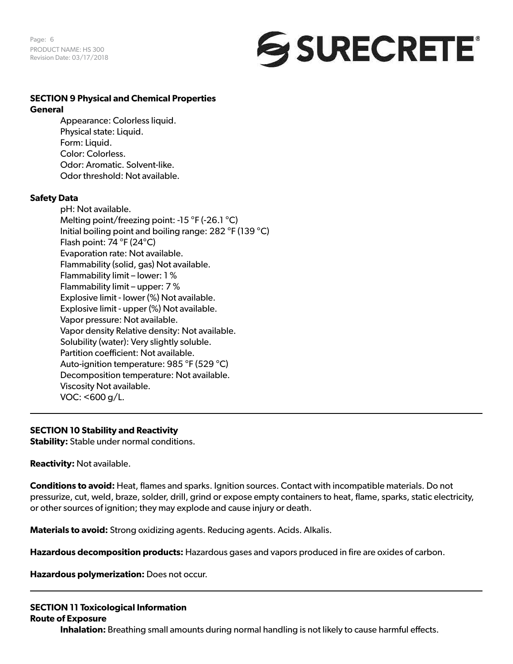Page: 6 PRODUCT NAME: HS 300 Revision Date: 03/17/2018



# **SECTION 9 Physical and Chemical Properties**

#### **General**

Appearance: Colorless liquid. Physical state: Liquid. Form: Liquid. Color: Colorless. Odor: Aromatic. Solvent-like. Odor threshold: Not available.

#### **Safety Data**

pH: Not available. Melting point/freezing point: -15 °F (-26.1 °C) Initial boiling point and boiling range: 282 °F (139 °C) Flash point: 74 °F (24°C) Evaporation rate: Not available. Flammability (solid, gas) Not available. Flammability limit – lower: 1 % Flammability limit – upper: 7 % Explosive limit - lower (%) Not available. Explosive limit - upper (%) Not available. Vapor pressure: Not available. Vapor density Relative density: Not available. Solubility (water): Very slightly soluble. Partition coefficient: Not available. Auto-ignition temperature: 985 °F (529 °C) Decomposition temperature: Not available. Viscosity Not available. VOC: <600 g/L.

#### **SECTION 10 Stability and Reactivity**

**Stability:** Stable under normal conditions.

**Reactivity:** Not available.

**Conditions to avoid:** Heat, flames and sparks. Ignition sources. Contact with incompatible materials. Do not pressurize, cut, weld, braze, solder, drill, grind or expose empty containers to heat, flame, sparks, static electricity, or other sources of ignition; they may explode and cause injury or death.

**Materials to avoid:** Strong oxidizing agents. Reducing agents. Acids. Alkalis.

**Hazardous decomposition products:** Hazardous gases and vapors produced in fire are oxides of carbon.

**Hazardous polymerization:** Does not occur.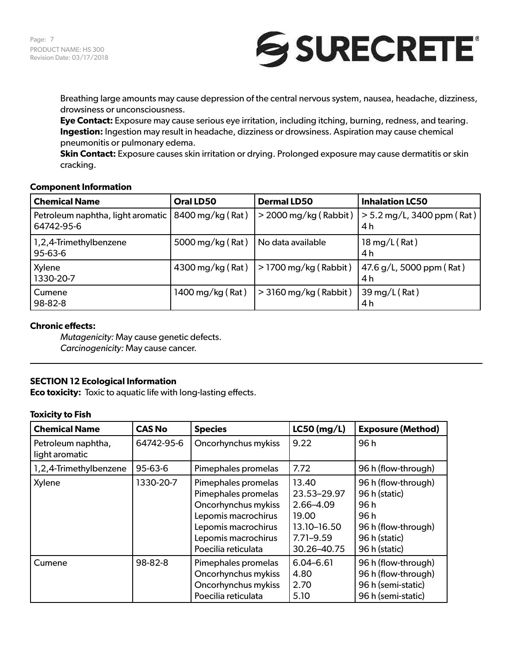

Breathing large amounts may cause depression of the central nervous system, nausea, headache, dizziness, drowsiness or unconsciousness.

**Eye Contact:** Exposure may cause serious eye irritation, including itching, burning, redness, and tearing. **Ingestion:** Ingestion may result in headache, dizziness or drowsiness. Aspiration may cause chemical pneumonitis or pulmonary edema.

**Skin Contact:** Exposure causes skin irritation or drying. Prolonged exposure may cause dermatitis or skin cracking.

#### **Component Information**

| <b>Chemical Name</b>                            | Oral LD50        | <b>Dermal LD50</b>      | <b>Inhalation LC50</b>                            |
|-------------------------------------------------|------------------|-------------------------|---------------------------------------------------|
| Petroleum naphtha, light aromatic<br>64742-95-6 | 8400 mg/kg (Rat) | $>$ 2000 mg/kg (Rabbit) | $\vert$ > 5.2 mg/L, 3400 ppm (Rat) $\vert$<br>4 h |
| 1,2,4-Trimethylbenzene<br>95-63-6               | 5000 mg/kg (Rat) | No data available       | 18 mg/L $(Rat)$<br>4 h                            |
| Xylene<br>1330-20-7                             | 4300 mg/kg (Rat) | $>$ 1700 mg/kg (Rabbit) | 47.6 g/L, 5000 ppm (Rat)<br>4 h                   |
| Cumene<br>98-82-8                               | 1400 mg/kg (Rat) | $>$ 3160 mg/kg (Rabbit) | 39 mg/L (Rat)<br>4 h                              |

#### **Chronic effects:**

*Mutagenicity:* May cause genetic defects. *Carcinogenicity:* May cause cancer.

# **SECTION 12 Ecological Information**

**Eco toxicity:** Toxic to aquatic life with long-lasting effects.

### **Toxicity to Fish**

| <b>Chemical Name</b>                 | <b>CAS No</b> | <b>Species</b>                                                                                                                                                | $LC50$ (mg/L)                                                                             | <b>Exposure (Method)</b>                                                                                     |
|--------------------------------------|---------------|---------------------------------------------------------------------------------------------------------------------------------------------------------------|-------------------------------------------------------------------------------------------|--------------------------------------------------------------------------------------------------------------|
| Petroleum naphtha,<br>light aromatic | 64742-95-6    | Oncorhynchus mykiss                                                                                                                                           | 9.22                                                                                      | 96h                                                                                                          |
| 1,2,4-Trimethylbenzene               | $95 - 63 - 6$ | Pimephales promelas                                                                                                                                           | 7.72                                                                                      | 96 h (flow-through)                                                                                          |
| Xylene                               | 1330-20-7     | Pimephales promelas<br>Pimephales promelas<br>Oncorhynchus mykiss<br>Lepomis macrochirus<br>Lepomis macrochirus<br>Lepomis macrochirus<br>Poecilia reticulata | 13.40<br>23.53-29.97<br>2.66-4.09<br>19.00<br>13.10-16.50<br>$7.71 - 9.59$<br>30.26-40.75 | 96 h (flow-through)<br>96 h (static)<br>96 h<br>96h<br>96 h (flow-through)<br>96 h (static)<br>96 h (static) |
| Cumene                               | 98-82-8       | Pimephales promelas<br>Oncorhynchus mykiss<br>Oncorhynchus mykiss<br>Poecilia reticulata                                                                      | $6.04 - 6.61$<br>4.80<br>2.70<br>5.10                                                     | 96 h (flow-through)<br>96 h (flow-through)<br>96 h (semi-static)<br>96 h (semi-static)                       |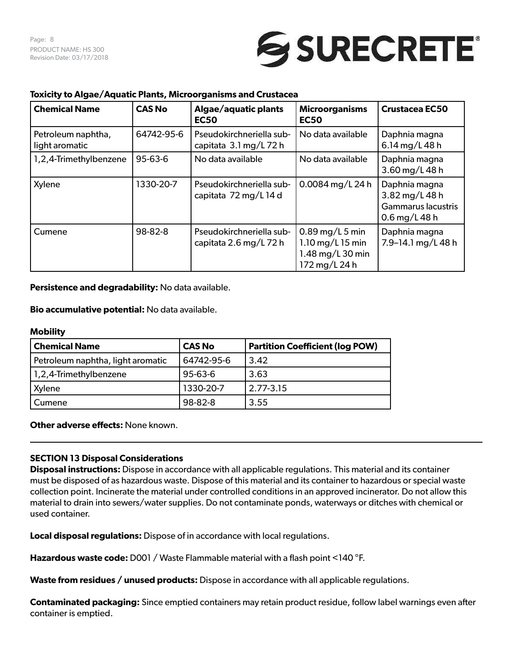# SURECRETE®

# **Toxicity to Algae/Aquatic Plants, Microorganisms and Crustacea**

| <b>Chemical Name</b>                 | <b>CAS No</b> | Algae/aquatic plants<br><b>EC50</b>                | <b>Microorganisms</b><br><b>EC50</b>                                       | Crustacea EC50                                                                |
|--------------------------------------|---------------|----------------------------------------------------|----------------------------------------------------------------------------|-------------------------------------------------------------------------------|
| Petroleum naphtha,<br>light aromatic | 64742-95-6    | Pseudokirchneriella sub-<br>capitata 3.1 mg/L 72 h | No data available                                                          | Daphnia magna<br>6.14 mg/L 48 h                                               |
| 1,2,4-Trimethylbenzene               | $95 - 63 - 6$ | No data available                                  | No data available                                                          | Daphnia magna<br>3.60 mg/L 48 h                                               |
| Xylene                               | 1330-20-7     | Pseudokirchneriella sub-<br>capitata 72 mg/L 14 d  | 0.0084 mg/L 24 h                                                           | Daphnia magna<br>3.82 mg/L 48 h<br><b>Gammarus lacustris</b><br>0.6 mg/L 48 h |
| Cumene                               | 98-82-8       | Pseudokirchneriella sub-<br>capitata 2.6 mg/L 72 h | $0.89$ mg/L 5 min<br>1.10 mg/L 15 min<br>1.48 mg/L 30 min<br>172 mg/L 24 h | Daphnia magna<br>7.9-14.1 mg/L 48 h                                           |

**Persistence and degradability:** No data available.

**Bio accumulative potential:** No data available.

#### **Mobility**

| <b>Chemical Name</b>              | <b>CAS No</b> | <b>Partition Coefficient (log POW)</b> |
|-----------------------------------|---------------|----------------------------------------|
| Petroleum naphtha, light aromatic | 64742-95-6    | 3.42                                   |
| 1,2,4-Trimethylbenzene            | $95 - 63 - 6$ | 3.63                                   |
| Xylene                            | 1330-20-7     | $2.77 - 3.15$                          |
| Cumene                            | 98-82-8       | 3.55                                   |

**Other adverse effects:** None known.

#### **SECTION 13 Disposal Considerations**

**Disposal instructions:** Dispose in accordance with all applicable regulations. This material and its container must be disposed of as hazardous waste. Dispose of this material and its container to hazardous or special waste collection point. Incinerate the material under controlled conditions in an approved incinerator. Do not allow this material to drain into sewers/water supplies. Do not contaminate ponds, waterways or ditches with chemical or used container.

**Local disposal regulations:** Dispose of in accordance with local regulations.

**Hazardous waste code:** D001 / Waste Flammable material with a flash point <140 °F.

**Waste from residues / unused products:** Dispose in accordance with all applicable regulations.

**Contaminated packaging:** Since emptied containers may retain product residue, follow label warnings even after container is emptied.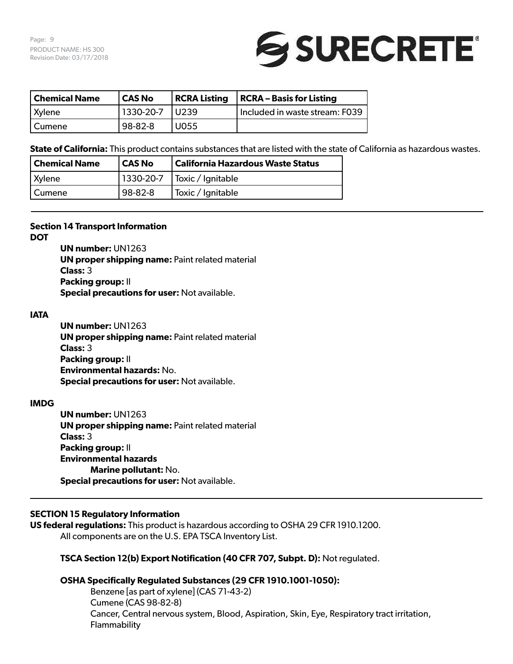Page: 9 PRODUCT NAME: HS 300 Revision Date: 03/17/2018



| Chemical Name | CAS No    | <b>RCRA Listing</b> | RCRA – Basis for Listing       |
|---------------|-----------|---------------------|--------------------------------|
| Xylene        | 1330-20-7 | $ U239\rangle$      | Included in waste stream: F039 |
| l Cumene      | 98-82-8   | U055                |                                |

**State of California:** This product contains substances that are listed with the state of California as hazardous wastes.

| <b>Chemical Name</b> | CAS No  | California Hazardous Waste Status     |
|----------------------|---------|---------------------------------------|
| Xylene               |         | $\vert$ 1330-20-7   Toxic / Ignitable |
| Cumene               | 98-82-8 | Toxic / Ignitable                     |

#### **Section 14 Transport Information**

**DOT**

**UN number:** UN1263 **UN proper shipping name:** Paint related material **Class:** 3 **Packing group:** II **Special precautions for user:** Not available.

#### **IATA**

**UN number:** UN1263 **UN proper shipping name:** Paint related material **Class:** 3 **Packing group:** II **Environmental hazards:** No. **Special precautions for user:** Not available.

#### **IMDG**

**UN number:** UN1263 **UN proper shipping name:** Paint related material **Class:** 3 **Packing group:** II **Environmental hazards Marine pollutant:** No. **Special precautions for user:** Not available.

# **SECTION 15 Regulatory Information**

**US federal regulations:** This product is hazardous according to OSHA 29 CFR 1910.1200. All components are on the U.S. EPA TSCA Inventory List.

#### **TSCA Section 12(b) Export Notification (40 CFR 707, Subpt. D):** Not regulated.

#### **OSHA Specifically Regulated Substances (29 CFR 1910.1001-1050):**

Benzene [as part of xylene] (CAS 71-43-2) Cumene (CAS 98-82-8) Cancer, Central nervous system, Blood, Aspiration, Skin, Eye, Respiratory tract irritation, Flammability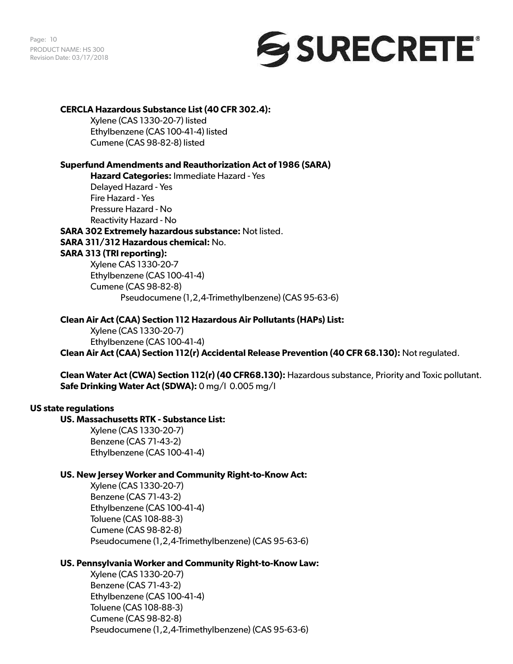

### **CERCLA Hazardous Substance List (40 CFR 302.4):**

Xylene (CAS 1330-20-7) listed Ethylbenzene (CAS 100-41-4) listed Cumene (CAS 98-82-8) listed

# **Superfund Amendments and Reauthorization Act of 1986 (SARA)**

**Hazard Categories:** Immediate Hazard - Yes Delayed Hazard - Yes Fire Hazard - Yes Pressure Hazard - No Reactivity Hazard - No

**SARA 302 Extremely hazardous substance:** Not listed. **SARA 311/312 Hazardous chemical:** No. **SARA 313 (TRI reporting):** Xylene CAS 1330-20-7 Ethylbenzene (CAS 100-41-4) Cumene (CAS 98-82-8)

Pseudocumene (1,2,4-Trimethylbenzene) (CAS 95-63-6)

# **Clean Air Act (CAA) Section 112 Hazardous Air Pollutants (HAPs) List:**

Xylene (CAS 1330-20-7) Ethylbenzene (CAS 100-41-4) **Clean Air Act (CAA) Section 112(r) Accidental Release Prevention (40 CFR 68.130):** Not regulated.

**Clean Water Act (CWA) Section 112(r) (40 CFR68.130):** Hazardous substance, Priority and Toxic pollutant. **Safe Drinking Water Act (SDWA):** 0 mg/l 0.005 mg/l

# **US state regulations**

# **US. Massachusetts RTK - Substance List:**

Xylene (CAS 1330-20-7) Benzene (CAS 71-43-2) Ethylbenzene (CAS 100-41-4)

# **US. New Jersey Worker and Community Right-to-Know Act:**

Xylene (CAS 1330-20-7) Benzene (CAS 71-43-2) Ethylbenzene (CAS 100-41-4) Toluene (CAS 108-88-3) Cumene (CAS 98-82-8) Pseudocumene (1,2,4-Trimethylbenzene) (CAS 95-63-6)

# **US. Pennsylvania Worker and Community Right-to-Know Law:**

Xylene (CAS 1330-20-7) Benzene (CAS 71-43-2) Ethylbenzene (CAS 100-41-4) Toluene (CAS 108-88-3) Cumene (CAS 98-82-8) Pseudocumene (1,2,4-Trimethylbenzene) (CAS 95-63-6)